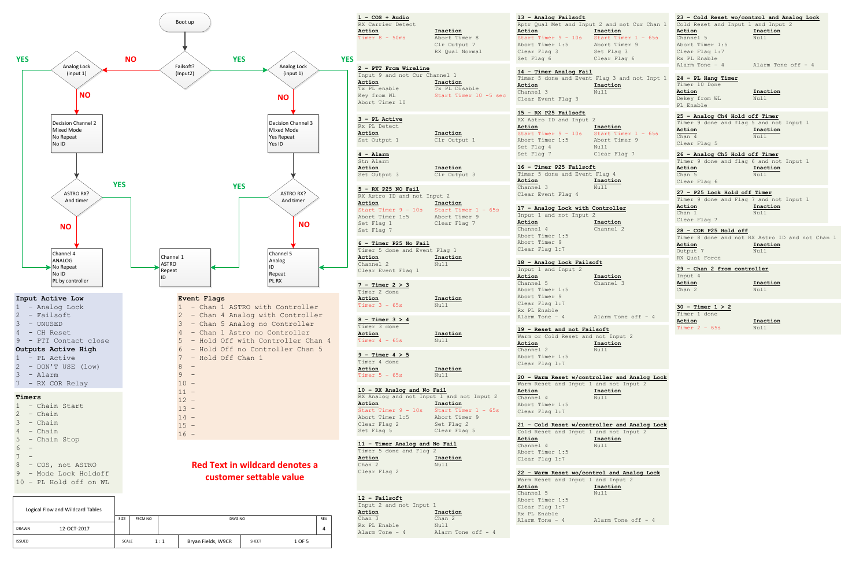

| $1 - \cos + \text{Audio}$<br>RX Carrier Detect<br>Action                                                                    | Inaction                                                           | 13 - Analog Failsoft<br>Action                                                                                      | Rptr Qual Met and Input 2 and not Cur Chan 1<br>Inaction         | 23 - Cold Reset wo/control and Analog Lock<br>Cold Reset and Input 1 and Input 2<br>Action                    | Inaction                                                            |
|-----------------------------------------------------------------------------------------------------------------------------|--------------------------------------------------------------------|---------------------------------------------------------------------------------------------------------------------|------------------------------------------------------------------|---------------------------------------------------------------------------------------------------------------|---------------------------------------------------------------------|
| Timer $8 - 50$ ms                                                                                                           | Abort Timer 8<br>Clr Output 7<br>RX Oual Normal                    | Start Timer $9 - 10s$ Start Timer $1 - 65s$<br>Abort Timer 1:5<br>Clear Flag 3<br>Set Flag 6                        | Abort Timer 9<br>Set Flag 3<br>Clear Flag 6                      | Channel 5<br>Abort Timer 1:5<br>Clear Flag 1:7<br>Rx PL Enable                                                | Null                                                                |
| 2 - PTT From Wireline<br>Input 9 and not Cur Channel 1<br>Action<br>Tx PL enable<br>Key from WL<br>Abort Timer 10           | Inaction<br>Tx PL Disable<br>Start Timer 10 -5 sec                 | 14 - Timer Analog Fail<br>Action<br>Channel 3<br>Clear Event Flag 3                                                 | Timer 5 done and Event Flag 3 and not Inpt 1<br>Inaction<br>Null | Alarm Tone - 4<br>24 - PL Hang Timer<br>Timer 10 Done<br>Action<br>Dekey from WL<br>PL Enable                 | Alarm Tone off - 4<br>Inaction<br>Null                              |
| 3 - PL Active<br>Rx PL Detect<br>Action<br>Set Output 1                                                                     | Inaction<br>Clr Output 1                                           | 15 - RX P25 Failsoft<br>RX Astro ID and Input 2<br>Action<br>Start Timer $9 - 10s$<br>Abort Timer 1:5<br>Set Flag 4 | Inaction<br>Start Timer $1 - 65s$<br>Abort Timer 9<br>Null       | 25 - Analog Ch4 Hold off Timer<br>Timer 9 done and flag 5 and not Input 1<br>Action<br>Chan 4<br>Clear Flag 5 | Inaction<br>Null                                                    |
| 4 - Alarm<br>Stn Alarm<br>Action<br>Set Output 3                                                                            | Inaction<br>Clr Output 3                                           | Set Flag 7<br>16 - Timer P25 Failsoft<br>Timer 5 done and Event Flag 4<br>Action                                    | Clear Flag 7<br>Inaction                                         | 26 - Analog Ch5 Hold off Timer<br>Timer 9 done and flag 6 and not Input 1<br>Action<br>Chan 5<br>Clear Flag 6 | Inaction<br>Null                                                    |
| 5 - RX P25 NO Fail<br>RX Astro ID and not Input 2<br>Action<br>Start Timer $9 - 10s$<br>Abort Timer 1:5<br>Set Flag 1       | Inaction<br>Start Timer $1 - 65s$<br>Abort Timer 9<br>Clear Flag 7 | Channel 3<br>Clear Event Flag 4<br>17 - Analog Lock with Controller<br>Input 1 and not Input 2<br>Action            | Null<br>Inaction                                                 | 27 - P25 Lock Hold off Timer<br>Timer 9 done and Flag 7 and not Input 1<br>Action<br>Chan 1<br>Clear Flag 7   | Inaction<br>Null                                                    |
| Set Flag 7<br>6 - Timer P25 No Fail<br>Timer 5 done and Event Flag 1<br>Action                                              | Inaction                                                           | Channel 4<br>Abort Timer 1:5<br>Abort Timer 9<br>Clear Flag 1:7                                                     | Channel 2                                                        | 28 - COR P25 Hold off<br>Action<br>Output 7<br>RX Qual Force                                                  | Timer 8 done and not RX Astro ID and not Chan 1<br>Inaction<br>Null |
| Channel 2<br>Clear Event Flag 1                                                                                             | Null                                                               | 18 - Analog Lock Failsoft<br>Input 1 and Input 2<br>Action                                                          | Inaction                                                         | 29 - Chan 2 from controller<br>Input 4                                                                        |                                                                     |
| $7 -$ Timer $2 > 3$<br>Timer 2 done<br>Action<br>Timer $3 - 65s$                                                            | Inaction<br>Null                                                   | Channel 5<br>Abort Timer 1:5<br>Abort Timer 9<br>Clear Flag 1:7<br>Rx PL Enable                                     | Channel 3                                                        | Action<br>Chan 2<br>$30 -$ Timer $1 > 2$                                                                      | Inaction<br>Null                                                    |
| $8 -$ Timer $3 > 4$<br>Timer 3 done<br>Action<br>Timer $4 - 65s$                                                            | Inaction<br>Null                                                   | Alarm Tone - 4<br>19 - Reset and not Failsoft<br>Warm or Cold Reset and not Input 2<br>Action                       | Alarm Tone off - 4<br>Inaction                                   | Timer 1 done<br>Action<br>Timer $2 - 65s$                                                                     | Inaction<br>Null                                                    |
| $9$ - Timer $4 > 5$<br>Timer 4 done<br>Action<br>Timer $5 - 65s$                                                            | Inaction<br>Null                                                   | Channel 2<br>Abort Timer 1:5<br>Clear Flag 1:7                                                                      | Null<br>20 - Warm Reset w/controller and Analog Lock             |                                                                                                               |                                                                     |
| 10 - RX Analog and No Fail<br>RX Analog and not Input 1 and not Input 2<br>Action<br>Start Timer 9 - 10s<br>Abort Timer 1:5 | Inaction<br>Start Timer $1 - 65s$<br>Abort Timer 9                 | Warm Reset and Input 1 and not Input 2<br>Action<br>Channel 4<br>Abort Timer 1:5<br>Clear Flag 1:7                  | Inaction<br>Null                                                 |                                                                                                               |                                                                     |
| Clear Flag 2<br>Set Flag 5                                                                                                  | Set Flag 2<br>Clear Flag 5                                         | Cold Reset and Input 1 and not Input 2<br>Action                                                                    | 21 - Cold Reset w/controller and Analog Lock<br>Inaction         |                                                                                                               |                                                                     |
| 11 - Timer Analog and No Fail<br>Timer 5 done and Flag 2<br>Action<br>Chan 2<br>Clear Flag 2                                | Inaction<br>Null                                                   | Channel 4<br>Abort Timer 1:5<br>Clear Flag 1:7                                                                      | Null                                                             |                                                                                                               |                                                                     |
|                                                                                                                             |                                                                    | 22 - Warm Reset wo/control and Analog Lock<br>Warm Reset and Input 1 and Input 2<br>Action                          | Inaction                                                         |                                                                                                               |                                                                     |
| $12$ - Failsoft<br>Input 2 and not Input 1<br>Action<br>Chan 3<br>Rx PL Enable<br>Alarm Tone - 4                            | Inaction<br>Chan 2<br>Null<br>Alarm Tone off - 4                   | Channel 5<br>Abort Timer 1:5<br>Clear Flag 1:7<br>Rx PL Enable<br>Alarm Tone $-4$                                   | Null<br>Alarm Tone off - 4                                       |                                                                                                               |                                                                     |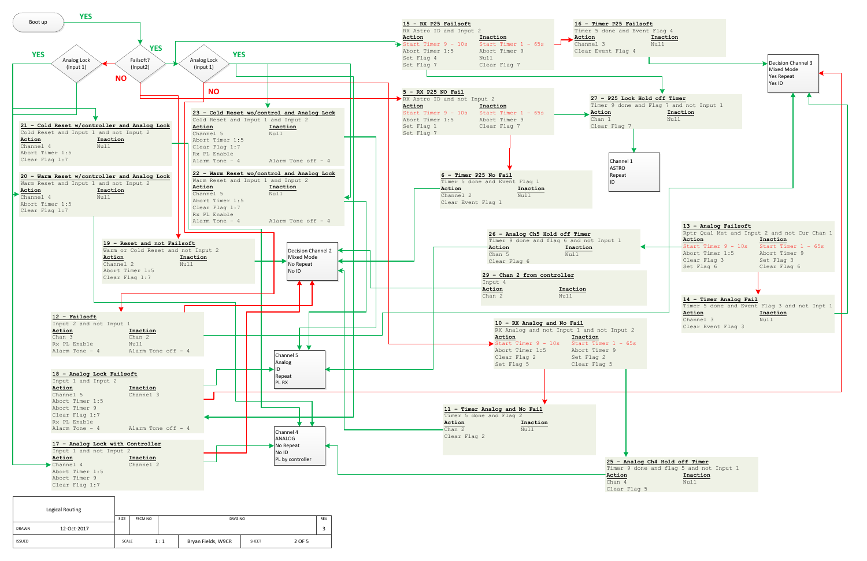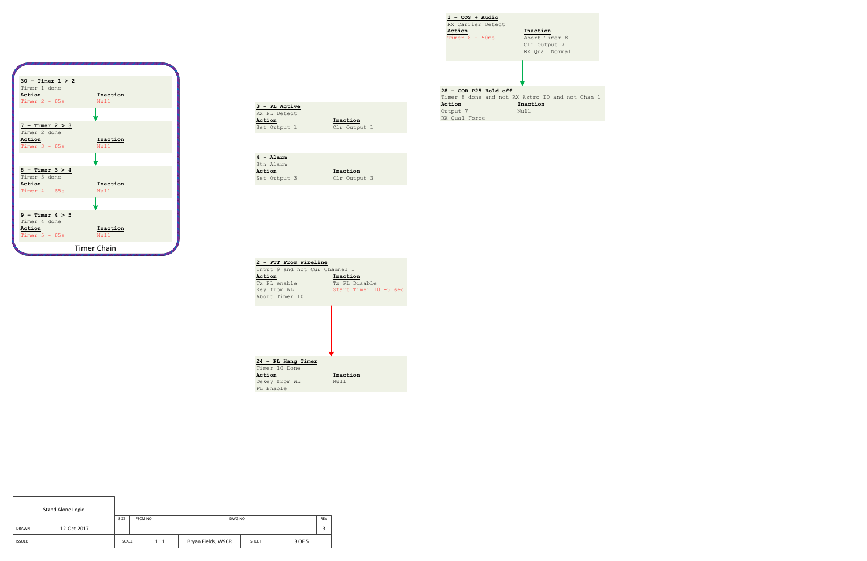| 2 - PTT From Wireline         |                       |
|-------------------------------|-----------------------|
| Input 9 and not Cur Channel 1 |                       |
| Action                        | Inaction              |
| Tx PL enable                  | Tx PL Disable         |
| Key from WL                   | Start Timer 10 -5 sec |
| Abort Timer 10                |                       |
|                               |                       |
|                               |                       |
|                               |                       |
|                               |                       |
|                               |                       |
|                               |                       |
|                               |                       |
|                               |                       |
| 24 - PL Hang Timer            |                       |
| Timer 10 Done                 |                       |
| Action                        | Inaction              |
| Dekey from WL                 | Nu 1 1                |
| PL Enable                     |                       |
|                               |                       |

| 3 - PL Active |              |
|---------------|--------------|
| Rx PL Detect  |              |
| Action        | Inaction     |
| Set Output 1  | Clr Output 1 |

|        | $4 - \text{Alarm}$ |              |  |
|--------|--------------------|--------------|--|
|        | Stn Alarm          |              |  |
| Action |                    | Inaction     |  |
|        | Set Output 3       | Clr Output 3 |  |

| <b>Stand Alone Logic</b> |             |       |                |     |                    |       |        |  |
|--------------------------|-------------|-------|----------------|-----|--------------------|-------|--------|--|
|                          |             | SIZE  | <b>FSCM NO</b> |     | DWG NO             |       |        |  |
| <b>DRAWN</b>             | 12-Oct-2017 |       |                |     |                    |       |        |  |
| <b>ISSUED</b>            |             | SCALE |                | 1:1 | Bryan Fields, W9CR | SHEET | 3 OF 5 |  |

**1 – COS + Audio**

| RX Carrier Detect     |                                                 |
|-----------------------|-------------------------------------------------|
| Action                | Inaction                                        |
| Timer $8 - 50$ ms     | Abort Timer 8                                   |
|                       | Clr Output 7                                    |
|                       | RX Oual Normal                                  |
|                       |                                                 |
|                       |                                                 |
|                       |                                                 |
|                       |                                                 |
|                       |                                                 |
| 28 - COR P25 Hold off |                                                 |
|                       | Timer 8 done and not RX Astro ID and not Chan 1 |
| Action                | Inaction                                        |
| Output 7              | Nu 1 1                                          |
| RX Oual Force         |                                                 |

![](_page_2_Figure_0.jpeg)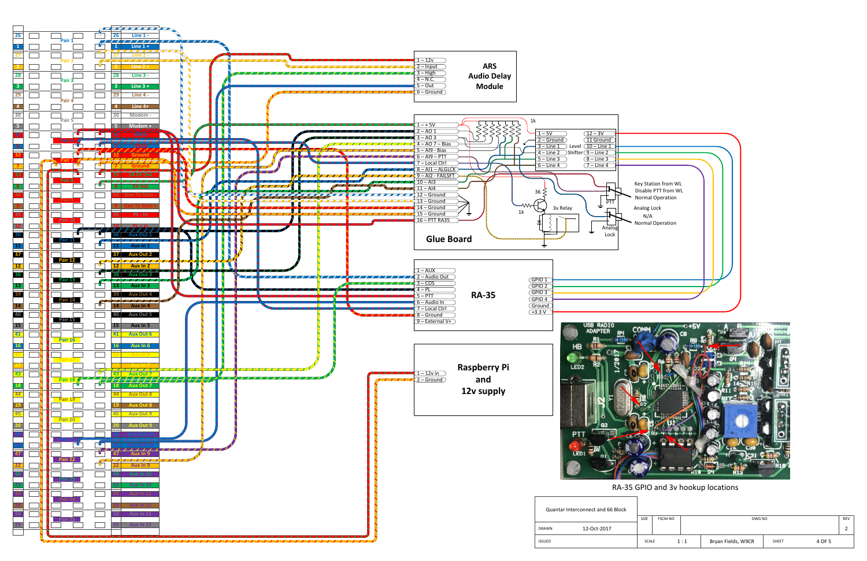![](_page_3_Figure_0.jpeg)

| SIZE<br><b>FSCM NO</b> | DWG NO                                |  |  |  |  |
|------------------------|---------------------------------------|--|--|--|--|
|                        |                                       |  |  |  |  |
|                        |                                       |  |  |  |  |
|                        |                                       |  |  |  |  |
| 1:1<br><b>SCALE</b>    | Bryan Fields, W9CR<br>4 OF 5<br>SHEET |  |  |  |  |